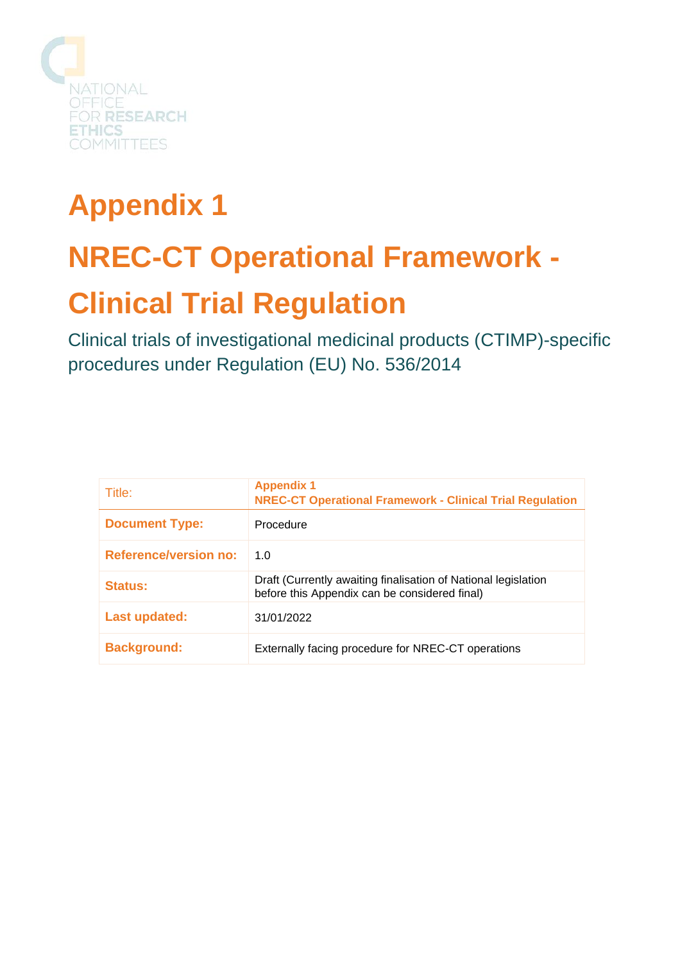

# **Appendix 1 NREC-CT Operational Framework - Clinical Trial Regulation**

Clinical trials of investigational medicinal products (CTIMP)-specific procedures under Regulation (EU) No. 536/2014

| Title:                       | <b>Appendix 1</b><br><b>NREC-CT Operational Framework - Clinical Trial Regulation</b>                           |
|------------------------------|-----------------------------------------------------------------------------------------------------------------|
| <b>Document Type:</b>        | Procedure                                                                                                       |
| <b>Reference/version no:</b> | 1.0                                                                                                             |
| Status:                      | Draft (Currently awaiting finalisation of National legislation<br>before this Appendix can be considered final) |
| Last updated:                | 31/01/2022                                                                                                      |
| <b>Background:</b>           | Externally facing procedure for NREC-CT operations                                                              |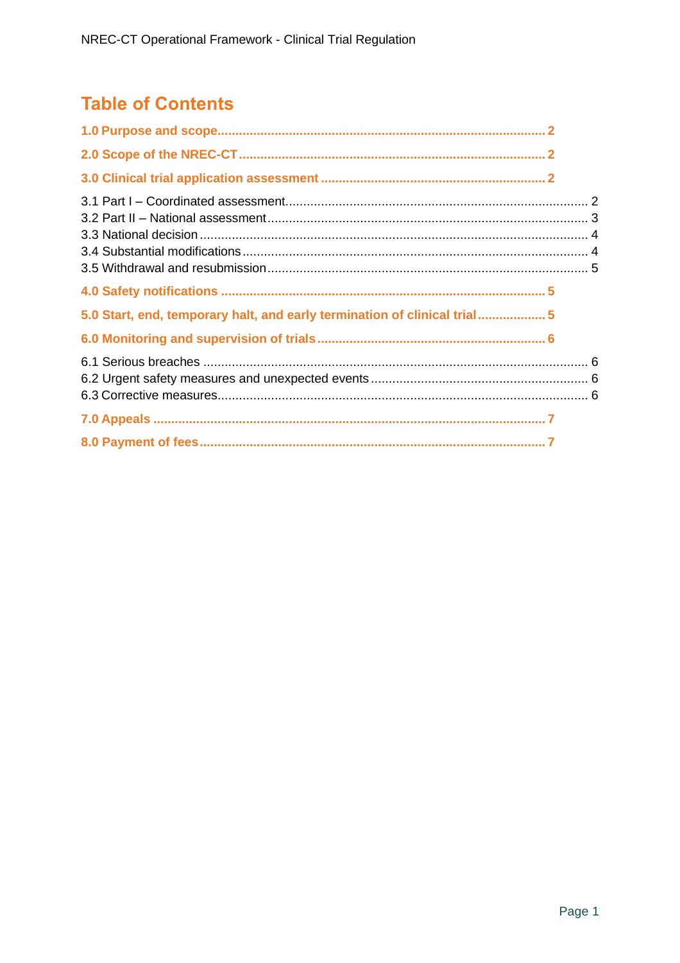# **Table of Contents**

| 5.0 Start, end, temporary halt, and early termination of clinical trial5 |  |
|--------------------------------------------------------------------------|--|
|                                                                          |  |
|                                                                          |  |
|                                                                          |  |
|                                                                          |  |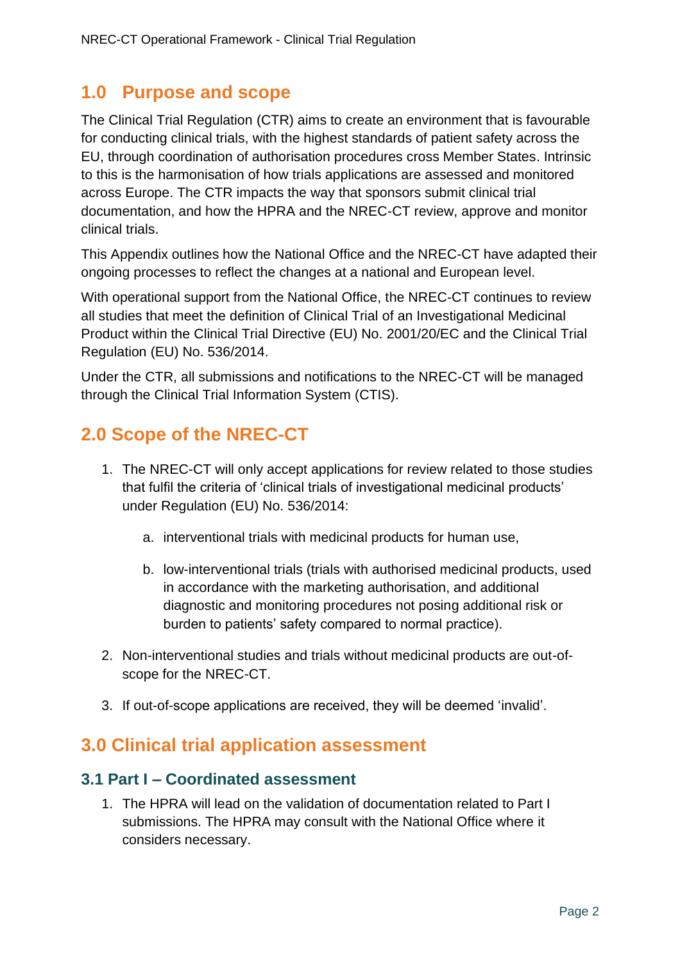## <span id="page-2-0"></span>**1.0 Purpose and scope**

The Clinical Trial Regulation (CTR) aims to create an environment that is favourable for conducting clinical trials, with the highest standards of patient safety across the EU, through coordination of authorisation procedures cross Member States. Intrinsic to this is the harmonisation of how trials applications are assessed and monitored across Europe. The CTR impacts the way that sponsors submit clinical trial documentation, and how the HPRA and the NREC-CT review, approve and monitor clinical trials.

This Appendix outlines how the National Office and the NREC-CT have adapted their ongoing processes to reflect the changes at a national and European level.

With operational support from the National Office, the NREC-CT continues to review all studies that meet the definition of Clinical Trial of an Investigational Medicinal Product within the Clinical Trial Directive (EU) No. 2001/20/EC and the Clinical Trial Regulation (EU) No. 536/2014.

Under the CTR, all submissions and notifications to the NREC-CT will be managed through the Clinical Trial Information System (CTIS).

# <span id="page-2-1"></span>**2.0 Scope of the NREC-CT**

- 1. The NREC-CT will only accept applications for review related to those studies that fulfil the criteria of 'clinical trials of investigational medicinal products' under Regulation (EU) No. 536/2014:
	- a. interventional trials with medicinal products for human use,
	- b. low-interventional trials (trials with authorised medicinal products, used in accordance with the marketing authorisation, and additional diagnostic and monitoring procedures not posing additional risk or burden to patients' safety compared to normal practice).
- 2. Non-interventional studies and trials without medicinal products are out-ofscope for the NREC-CT.
- 3. If out-of-scope applications are received, they will be deemed 'invalid'.

## <span id="page-2-2"></span>**3.0 Clinical trial application assessment**

#### <span id="page-2-3"></span>**3.1 Part I – Coordinated assessment**

1. The HPRA will lead on the validation of documentation related to Part I submissions. The HPRA may consult with the National Office where it considers necessary.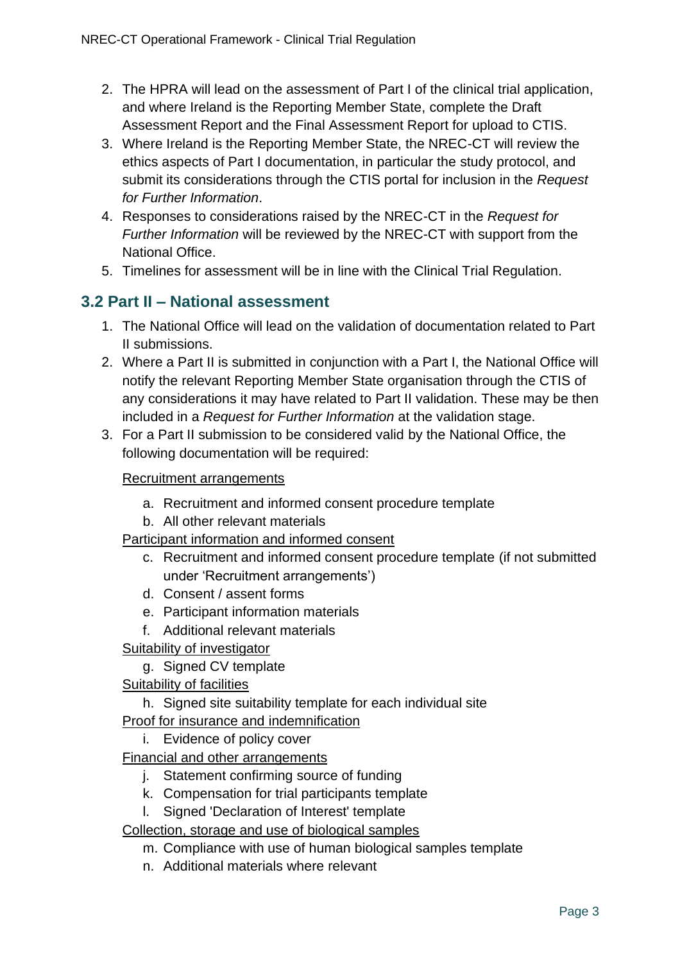- 2. The HPRA will lead on the assessment of Part I of the clinical trial application, and where Ireland is the Reporting Member State, complete the Draft Assessment Report and the Final Assessment Report for upload to CTIS.
- 3. Where Ireland is the Reporting Member State, the NREC-CT will review the ethics aspects of Part I documentation, in particular the study protocol, and submit its considerations through the CTIS portal for inclusion in the *Request for Further Information*.
- 4. Responses to considerations raised by the NREC-CT in the *Request for Further Information* will be reviewed by the NREC-CT with support from the National Office.
- 5. Timelines for assessment will be in line with the Clinical Trial Regulation.

#### <span id="page-3-0"></span>**3.2 Part II – National assessment**

- 1. The National Office will lead on the validation of documentation related to Part II submissions.
- 2. Where a Part II is submitted in conjunction with a Part I, the National Office will notify the relevant Reporting Member State organisation through the CTIS of any considerations it may have related to Part II validation. These may be then included in a *Request for Further Information* at the validation stage.
- 3. For a Part II submission to be considered valid by the National Office, the following documentation will be required:

#### Recruitment arrangements

- a. Recruitment and informed consent procedure template
- b. All other relevant materials

#### Participant information and informed consent

- c. Recruitment and informed consent procedure template (if not submitted under 'Recruitment arrangements')
- d. Consent / assent forms
- e. Participant information materials
- f. Additional relevant materials
- Suitability of investigator
	- g. Signed CV template
- Suitability of facilities
	- h. Signed site suitability template for each individual site

#### Proof for insurance and indemnification

- i. Evidence of policy cover
- Financial and other arrangements
	- j. Statement confirming source of funding
	- k. Compensation for trial participants template
	- l. Signed 'Declaration of Interest' template
- Collection, storage and use of biological samples
	- m. Compliance with use of human biological samples template
	- n. Additional materials where relevant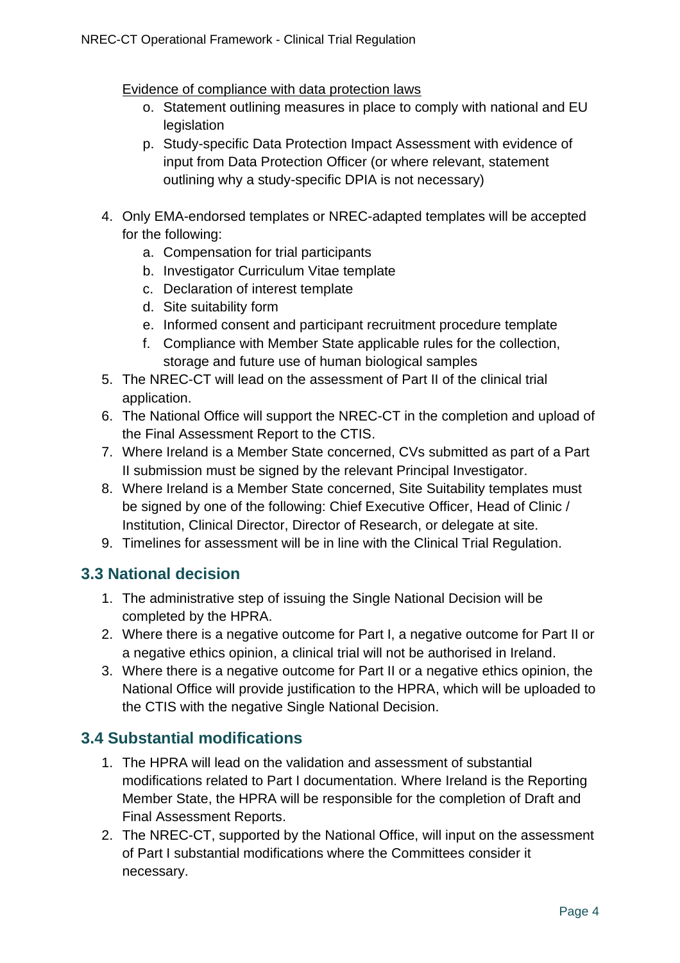Evidence of compliance with data protection laws

- o. Statement outlining measures in place to comply with national and EU legislation
- p. Study-specific Data Protection Impact Assessment with evidence of input from Data Protection Officer (or where relevant, statement outlining why a study-specific DPIA is not necessary)
- 4. Only EMA-endorsed templates or NREC-adapted templates will be accepted for the following:
	- a. Compensation for trial participants
	- b. Investigator Curriculum Vitae template
	- c. Declaration of interest template
	- d. Site suitability form
	- e. Informed consent and participant recruitment procedure template
	- f. Compliance with Member State applicable rules for the collection, storage and future use of human biological samples
- 5. The NREC-CT will lead on the assessment of Part II of the clinical trial application.
- 6. The National Office will support the NREC-CT in the completion and upload of the Final Assessment Report to the CTIS.
- 7. Where Ireland is a Member State concerned, CVs submitted as part of a Part II submission must be signed by the relevant Principal Investigator.
- 8. Where Ireland is a Member State concerned, Site Suitability templates must be signed by one of the following: Chief Executive Officer, Head of Clinic / Institution, Clinical Director, Director of Research, or delegate at site.
- 9. Timelines for assessment will be in line with the Clinical Trial Regulation.

#### <span id="page-4-0"></span>**3.3 National decision**

- 1. The administrative step of issuing the Single National Decision will be completed by the HPRA.
- 2. Where there is a negative outcome for Part I, a negative outcome for Part II or a negative ethics opinion, a clinical trial will not be authorised in Ireland.
- 3. Where there is a negative outcome for Part II or a negative ethics opinion, the National Office will provide justification to the HPRA, which will be uploaded to the CTIS with the negative Single National Decision.

## <span id="page-4-1"></span>**3.4 Substantial modifications**

- 1. The HPRA will lead on the validation and assessment of substantial modifications related to Part I documentation. Where Ireland is the Reporting Member State, the HPRA will be responsible for the completion of Draft and Final Assessment Reports.
- 2. The NREC-CT, supported by the National Office, will input on the assessment of Part I substantial modifications where the Committees consider it necessary.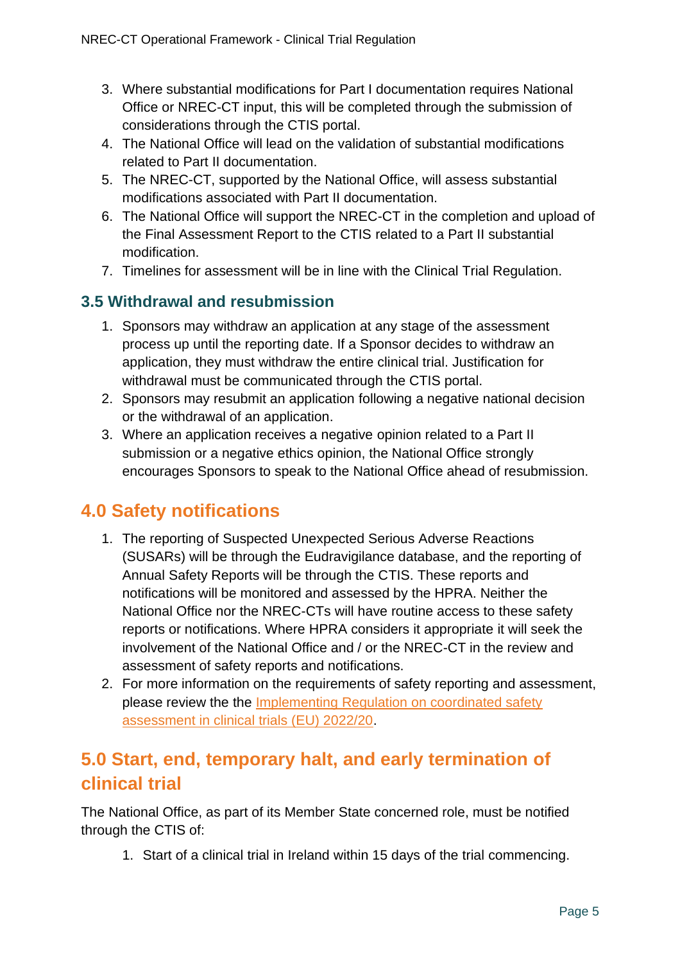- 3. Where substantial modifications for Part I documentation requires National Office or NREC-CT input, this will be completed through the submission of considerations through the CTIS portal.
- 4. The National Office will lead on the validation of substantial modifications related to Part II documentation.
- 5. The NREC-CT, supported by the National Office, will assess substantial modifications associated with Part II documentation.
- 6. The National Office will support the NREC-CT in the completion and upload of the Final Assessment Report to the CTIS related to a Part II substantial modification.
- 7. Timelines for assessment will be in line with the Clinical Trial Regulation.

### <span id="page-5-0"></span>**3.5 Withdrawal and resubmission**

- 1. Sponsors may withdraw an application at any stage of the assessment process up until the reporting date. If a Sponsor decides to withdraw an application, they must withdraw the entire clinical trial. Justification for withdrawal must be communicated through the CTIS portal.
- 2. Sponsors may resubmit an application following a negative national decision or the withdrawal of an application.
- 3. Where an application receives a negative opinion related to a Part II submission or a negative ethics opinion, the National Office strongly encourages Sponsors to speak to the National Office ahead of resubmission.

## <span id="page-5-1"></span>**4.0 Safety notifications**

- 1. The reporting of Suspected Unexpected Serious Adverse Reactions (SUSARs) will be through the Eudravigilance database, and the reporting of Annual Safety Reports will be through the CTIS. These reports and notifications will be monitored and assessed by the HPRA. Neither the National Office nor the NREC-CTs will have routine access to these safety reports or notifications. Where HPRA considers it appropriate it will seek the involvement of the National Office and / or the NREC-CT in the review and assessment of safety reports and notifications.
- 2. For more information on the requirements of safety reporting and assessment, please review the the Implementing Regulation on coordinated safety [assessment in clinical trials \(EU\) 2022/20.](https://eur-lex.europa.eu/legal-content/EN/TXT/?uri=uriserv%3AOJ.L_.2022.005.01.0014.01.ENG&toc=OJ%3AL%3A2022%3A005%3ATOC)

# <span id="page-5-2"></span>**5.0 Start, end, temporary halt, and early termination of clinical trial**

The National Office, as part of its Member State concerned role, must be notified through the CTIS of:

1. Start of a clinical trial in Ireland within 15 days of the trial commencing.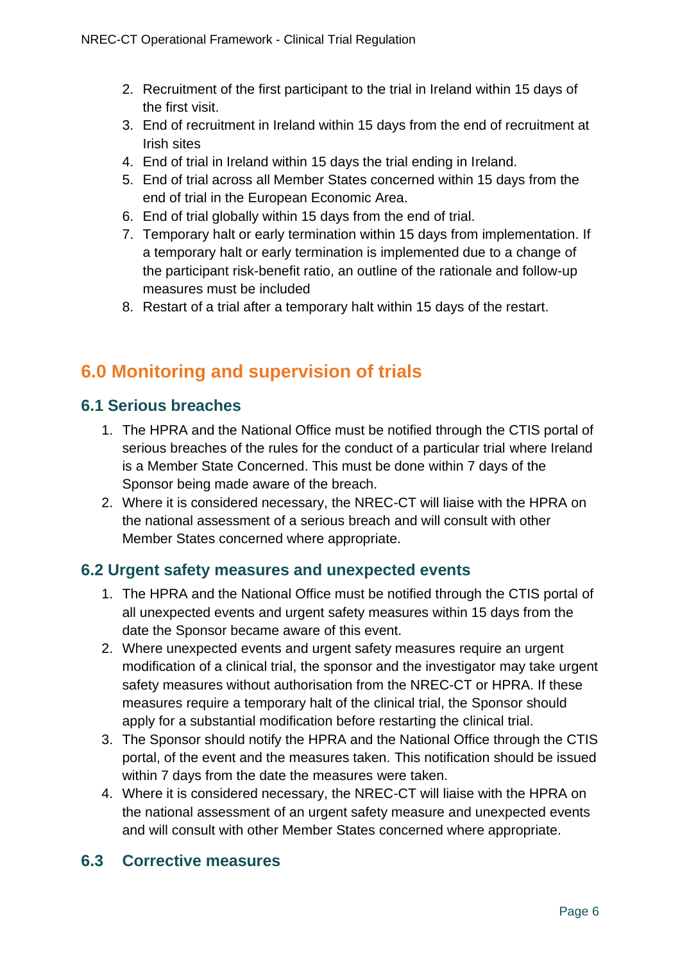- 2. Recruitment of the first participant to the trial in Ireland within 15 days of the first visit.
- 3. End of recruitment in Ireland within 15 days from the end of recruitment at Irish sites
- 4. End of trial in Ireland within 15 days the trial ending in Ireland.
- 5. End of trial across all Member States concerned within 15 days from the end of trial in the European Economic Area.
- 6. End of trial globally within 15 days from the end of trial.
- 7. Temporary halt or early termination within 15 days from implementation. If a temporary halt or early termination is implemented due to a change of the participant risk-benefit ratio, an outline of the rationale and follow-up measures must be included
- 8. Restart of a trial after a temporary halt within 15 days of the restart.

# <span id="page-6-0"></span>**6.0 Monitoring and supervision of trials**

#### <span id="page-6-1"></span>**6.1 Serious breaches**

- 1. The HPRA and the National Office must be notified through the CTIS portal of serious breaches of the rules for the conduct of a particular trial where Ireland is a Member State Concerned. This must be done within 7 days of the Sponsor being made aware of the breach.
- 2. Where it is considered necessary, the NREC-CT will liaise with the HPRA on the national assessment of a serious breach and will consult with other Member States concerned where appropriate.

#### <span id="page-6-2"></span>**6.2 Urgent safety measures and unexpected events**

- 1. The HPRA and the National Office must be notified through the CTIS portal of all unexpected events and urgent safety measures within 15 days from the date the Sponsor became aware of this event.
- 2. Where unexpected events and urgent safety measures require an urgent modification of a clinical trial, the sponsor and the investigator may take urgent safety measures without authorisation from the NREC-CT or HPRA. If these measures require a temporary halt of the clinical trial, the Sponsor should apply for a substantial modification before restarting the clinical trial.
- 3. The Sponsor should notify the HPRA and the National Office through the CTIS portal, of the event and the measures taken. This notification should be issued within 7 days from the date the measures were taken.
- 4. Where it is considered necessary, the NREC-CT will liaise with the HPRA on the national assessment of an urgent safety measure and unexpected events and will consult with other Member States concerned where appropriate.

#### <span id="page-6-3"></span>**6.3 Corrective measures**